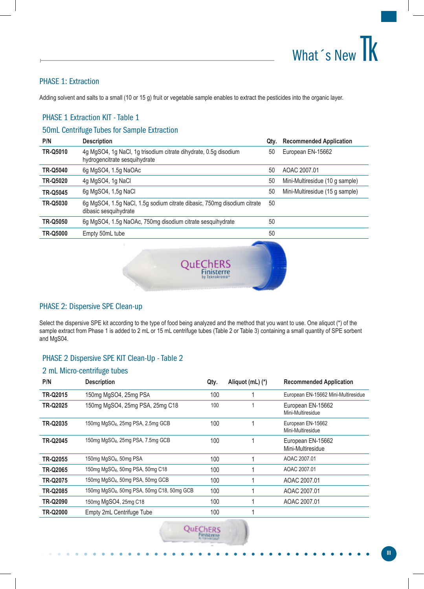## What 's New TK

## PHASE 1: Extraction

Adding solvent and salts to a small (10 or 15 g) fruit or vegetable sample enables to extract the pesticides into the organic layer.

## PHASE 1 Extraction KIT - Table 1

### 50mL Centrifuge Tubes for Sample Extraction

| P/N             | <b>Description</b>                                                                                | Qty. | <b>Recommended Application</b>  |
|-----------------|---------------------------------------------------------------------------------------------------|------|---------------------------------|
| <b>TR-Q5010</b> | 4g MgSO4, 1g NaCl, 1g trisodium citrate dihydrate, 0.5g disodium<br>hydrogencitrate sesquihydrate | 50   | European EN-15662               |
| <b>TR-Q5040</b> | 6g MgSO4, 1.5g NaOAc                                                                              | 50   | AOAC 2007.01                    |
| <b>TR-Q5020</b> | 4g MgSO4, 1g NaCl                                                                                 | 50   | Mini-Multiresidue (10 g sample) |
| <b>TR-Q5045</b> | 6g MgSO4, 1,5g NaCl                                                                               | 50   | Mini-Multiresidue (15 g sample) |
| <b>TR-Q5030</b> | 6g MgSO4, 1.5g NaCl, 1.5g sodium citrate dibasic, 750mg disodium citrate<br>dibasic sesquihydrate | 50   |                                 |
| <b>TR-Q5050</b> | 6q MgSO4, 1.5q NaOAc, 750mg disodium citrate sesquihydrate                                        | 50   |                                 |
| <b>TR-Q5000</b> | Empty 50mL tube                                                                                   | 50   |                                 |
|                 |                                                                                                   |      |                                 |



## PHASE 2: Dispersive SPE Clean-up

Select the dispersive SPE kit according to the type of food being analyzed and the method that you want to use. One aliquot (\*) of the sample extract from Phase 1 is added to 2 mL or 15 mL centrifuge tubes (Table 2 or Table 3) containing a small quantity of SPE sorbent and MgS04.

## PHASE 2 Dispersive SPE KIT Clean-Up - Table 2

#### 2 mL Micro-centrifuge tubes

| P/N             | <b>Description</b>                                     | Qty. | Aliquot (mL) (*) | <b>Recommended Application</b>         |
|-----------------|--------------------------------------------------------|------|------------------|----------------------------------------|
| TR-Q2015        | 150mg MgSO4, 25mg PSA                                  | 100  |                  | European EN-15662 Mini-Multiresidue    |
| <b>TR-Q2025</b> | 150mg MgSO4, 25mg PSA, 25mg C18                        | 100  |                  | European EN-15662<br>Mini-Multiresidue |
| TR-Q2035        | 150mg MgSO <sub>4</sub> , 25mg PSA, 2.5mg GCB          | 100  |                  | European EN-15662<br>Mini-Multiresidue |
| <b>TR-Q2045</b> | 150mg MgSO <sub>4</sub> , 25mg PSA, 7.5mg GCB          | 100  |                  | European EN-15662<br>Mini-Multiresidue |
| <b>TR-Q2055</b> | 150mg MgSO <sub>4</sub> , 50mg PSA                     | 100  |                  | AOAC 2007.01                           |
| TR-Q2065        | 150mg MgSO <sub>4</sub> , 50mg PSA, 50mg C18           | 100  |                  | AOAC 2007.01                           |
| TR-Q2075        | 150mg MgSO <sub>4</sub> , 50mg PSA, 50mg GCB           | 100  |                  | AOAC 2007.01                           |
| <b>TR-Q2085</b> | 150mg MgSO <sub>4</sub> , 50mg PSA, 50mg C18, 50mg GCB | 100  |                  | AOAC 2007.01                           |
| TR-Q2090        | 150mg MgSO4, 25mg C18                                  | 100  |                  | AOAC 2007.01                           |
| <b>TR-Q2000</b> | Empty 2mL Centrifuge Tube                              | 100  |                  |                                        |

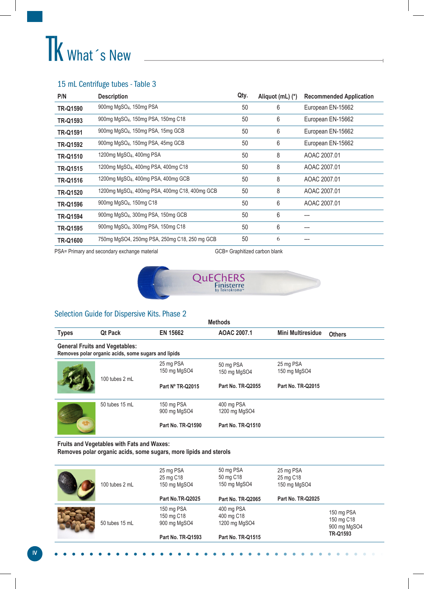# TK What 's New

## 15 mL Centrifuge tubes - Table 3

| P/N             | <b>Description</b>                                         | Qty. | Aliquot (mL) (*) | <b>Recommended Application</b> |
|-----------------|------------------------------------------------------------|------|------------------|--------------------------------|
| <b>TR-Q1590</b> | 900mg MgSO <sub>4</sub> , 150mg PSA                        | 50   | 6                | European EN-15662              |
| TR-Q1593        | 900mg MgSO <sub>4</sub> , 150mg PSA, 150mg C18             | 50   | 6                | European EN-15662              |
| <b>TR-Q1591</b> | 900mg MgSO <sub>4</sub> , 150mg PSA, 15mg GCB              | 50   | 6                | European EN-15662              |
| <b>TR-Q1592</b> | 900mg MgSO <sub>4</sub> , 150mg PSA, 45mg GCB              | 50   | 6                | European EN-15662              |
| <b>TR-Q1510</b> | 1200mg MgSO <sub>4</sub> , 400mg PSA                       | 50   | 8                | AOAC 2007.01                   |
| TR-Q1515        | 1200mg MgSO <sub>4</sub> , 400mg PSA, 400mg C18            | 50   | 8                | AOAC 2007.01                   |
| <b>TR-Q1516</b> | 1200mg MgSO <sub>4</sub> , 400mg PSA, 400mg GCB            | 50   | 8                | AOAC 2007.01                   |
| <b>TR-Q1520</b> | 1200mg MgSO <sub>4</sub> , 400mg PSA, 400mg C18, 400mg GCB | 50   | 8                | AOAC 2007.01                   |
| <b>TR-Q1596</b> | 900mg MgSO <sub>4</sub> , 150mg C18                        | 50   | 6                | AOAC 2007.01                   |
| <b>TR-Q1594</b> | 900mg MgSO <sub>4</sub> , 300mg PSA, 150mg GCB             | 50   | 6                | ---                            |
| <b>TR-Q1595</b> | 900mg MgSO <sub>4</sub> , 300mg PSA, 150mg C18             | 50   | 6                | ---                            |
| TR-Q1600        | 750mg MgSO4, 250mg PSA, 250mg C18, 250 mg GCB              | 50   | 6                |                                |

PSA= Primary and secondary exchange material GCB= Graphitized carbon blank



## Selection Guide for Dispersive Kits. Phase 2

| <b>Methods</b>                                                                               |                |                            |                             |                                           |  |  |  |
|----------------------------------------------------------------------------------------------|----------------|----------------------------|-----------------------------|-------------------------------------------|--|--|--|
| <b>Types</b>                                                                                 | <b>Qt Pack</b> | EN 15662                   | AOAC 2007.1                 | <b>Mini Multiresidue</b><br><b>Others</b> |  |  |  |
| <b>General Fruits and Vegetables:</b><br>Removes polar organic acids, some sugars and lipids |                |                            |                             |                                           |  |  |  |
|                                                                                              | 100 tubes 2 mL | 25 mg PSA<br>150 mg MgSO4  | 50 mg PSA<br>150 mg MgSO4   | 25 mg PSA<br>150 mg MgSO4                 |  |  |  |
|                                                                                              |                | Part Nº TR-Q2015           | <b>Part No. TR-Q2055</b>    | <b>Part No. TR-Q2015</b>                  |  |  |  |
|                                                                                              | 50 tubes 15 mL | 150 mg PSA<br>900 mg MgSO4 | 400 mg PSA<br>1200 mg MgSO4 |                                           |  |  |  |
|                                                                                              |                | <b>Part No. TR-Q1590</b>   | <b>Part No. TR-Q1510</b>    |                                           |  |  |  |

**Fruits and Vegetables with Fats and Waxes:**

**Removes polar organic acids, some sugars, more lipids and sterols** 

| 100 tubes 2 mL | 25 mg PSA<br>25 mg C18<br>150 mg MgSO4   | 50 mg PSA<br>25 mg PSA<br>50 mg C18<br>25 mg C18<br>150 mg MgSO4<br>150 mg MgSO4 |                          |                                          |
|----------------|------------------------------------------|----------------------------------------------------------------------------------|--------------------------|------------------------------------------|
|                | Part No.TR-Q2025                         | <b>Part No. TR-Q2065</b>                                                         | <b>Part No. TR-Q2025</b> |                                          |
| 50 tubes 15 mL | 150 mg PSA<br>150 mg C18<br>900 mg MgSO4 | 400 mg PSA<br>400 mg C18<br>1200 mg MgSO4                                        |                          | 150 mg PSA<br>150 mg C18<br>900 mg MgSO4 |
|                | <b>Part No. TR-Q1593</b>                 | <b>Part No. TR-Q1515</b>                                                         |                          | TR-Q1593                                 |